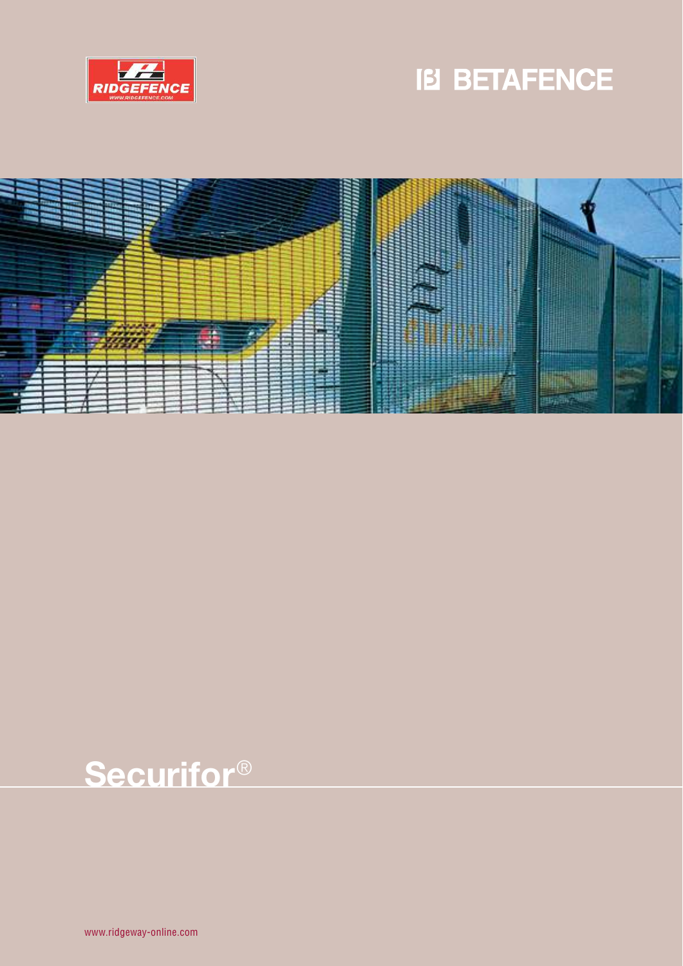





# **Securifor**®

www.ridgeway-online.com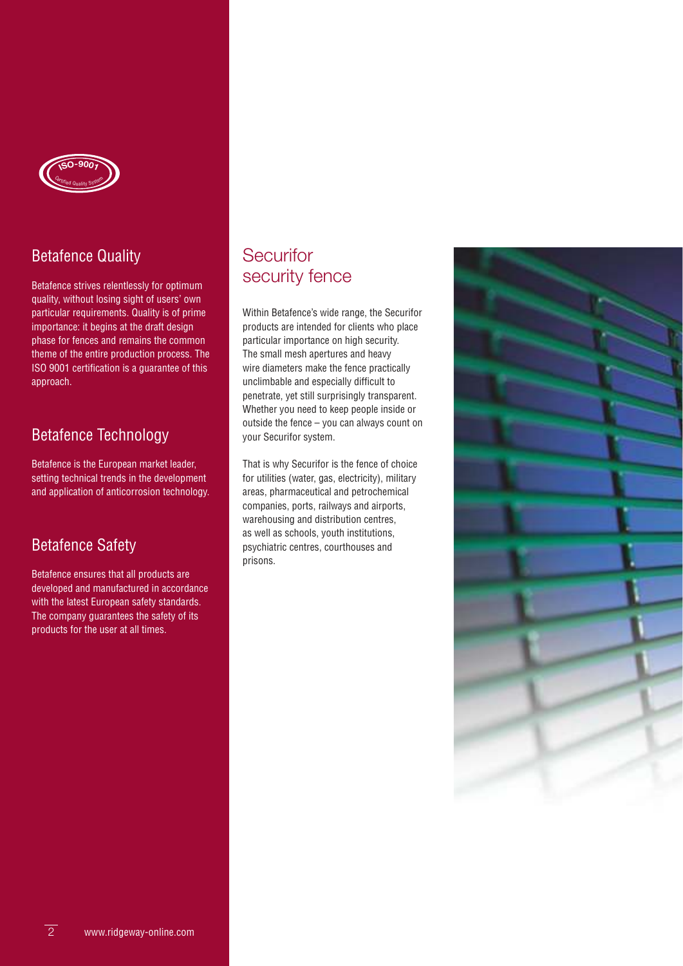

### Betafence Quality

Betafence strives relentlessly for optimum quality, without losing sight of users' own particular requirements. Quality is of prime importance: it begins at the draft design phase for fences and remains the common theme of the entire production process. The ISO 9001 certification is a guarantee of this approach.

### Betafence Technology

Betafence is the European market leader, setting technical trends in the development and application of anticorrosion technology.

### Betafence Safety

Betafence ensures that all products are developed and manufactured in accordance with the latest European safety standards. The company guarantees the safety of its products for the user at all times.

### **Securifor** security fence

Within Betafence's wide range, the Securifor products are intended for clients who place particular importance on high security. The small mesh apertures and heavy wire diameters make the fence practically unclimbable and especially difficult to penetrate, yet still surprisingly transparent. Whether you need to keep people inside or outside the fence – you can always count on your Securifor system.

That is why Securifor is the fence of choice for utilities (water, gas, electricity), military areas, pharmaceutical and petrochemical companies, ports, railways and airports, warehousing and distribution centres, as well as schools, youth institutions, psychiatric centres, courthouses and prisons.

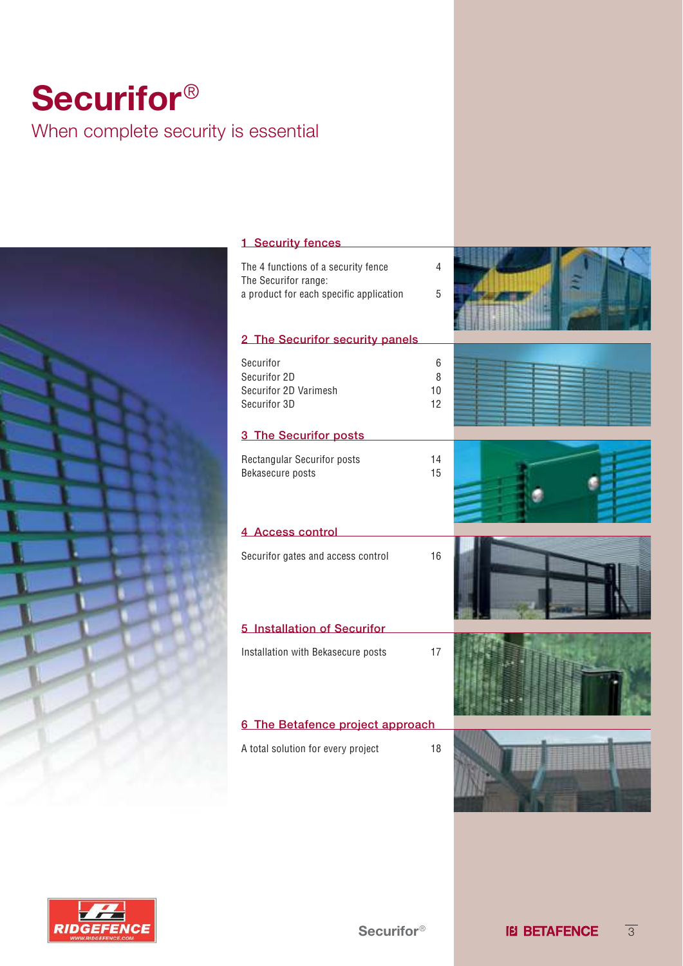## **Securifor**® When complete security is essential



| 1 Security fences                                                                                      |                    |  |
|--------------------------------------------------------------------------------------------------------|--------------------|--|
| The 4 functions of a security fence<br>The Securifor range:<br>a product for each specific application | 4<br>5             |  |
|                                                                                                        |                    |  |
| 2 The Securifor security panels                                                                        |                    |  |
| Securifor<br>Securifor 2D<br>Securifor 2D Varimesh<br>Securifor 3D                                     | 6<br>8<br>10<br>12 |  |
| 3 The Securifor posts                                                                                  |                    |  |
| Rectangular Securifor posts<br>Bekasecure posts                                                        | 14<br>15           |  |
| 4 Access control                                                                                       |                    |  |
| Securifor gates and access control                                                                     | 16                 |  |
| 5 Installation of Securifor                                                                            |                    |  |
| Installation with Bekasecure posts                                                                     | 17                 |  |
| 6 The Betafence project approach                                                                       |                    |  |
| A total solution for every project                                                                     | 18                 |  |

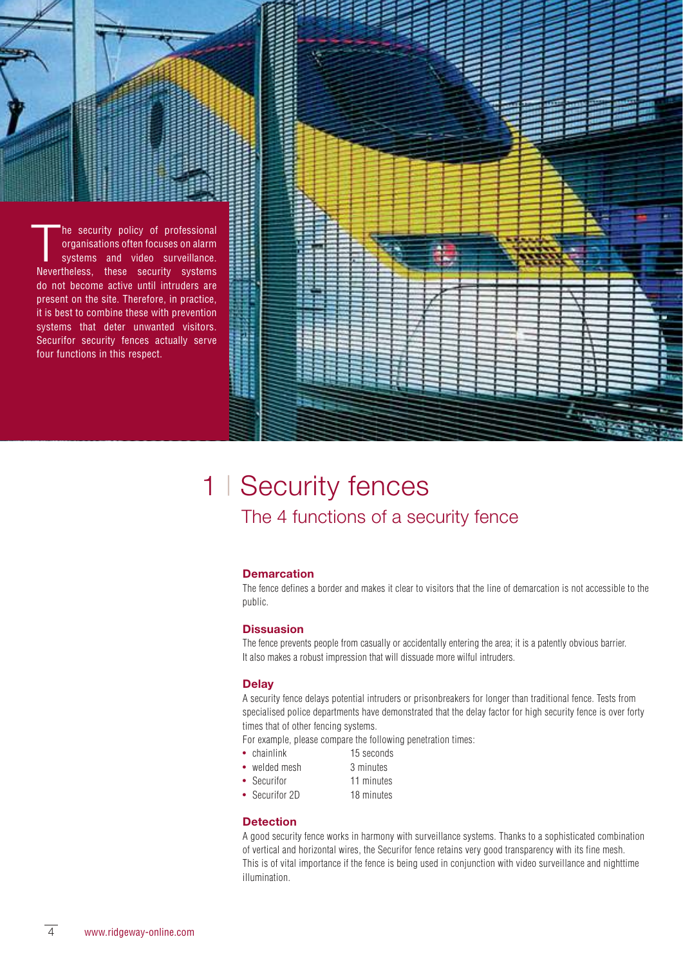

### 1 | Security fences The 4 functions of a security fence

#### **Demarcation**

The fence defines a border and makes it clear to visitors that the line of demarcation is not accessible to the public.

#### **Dissuasion**

The fence prevents people from casually or accidentally entering the area; it is a patently obvious barrier. It also makes a robust impression that will dissuade more wilful intruders.

#### **Delay**

A security fence delays potential intruders or prisonbreakers for longer than traditional fence. Tests from specialised police departments have demonstrated that the delay factor for high security fence is over forty times that of other fencing systems.

For example, please compare the following penetration times:

- chainlink 15 seconds
- welded mesh 3 minutes
- Securifor 11 minutes
- Securifor 2D 18 minutes

#### **Detection**

A good security fence works in harmony with surveillance systems. Thanks to a sophisticated combination of vertical and horizontal wires, the Securifor fence retains very good transparency with its fine mesh. This is of vital importance if the fence is being used in conjunction with video surveillance and nighttime illumination.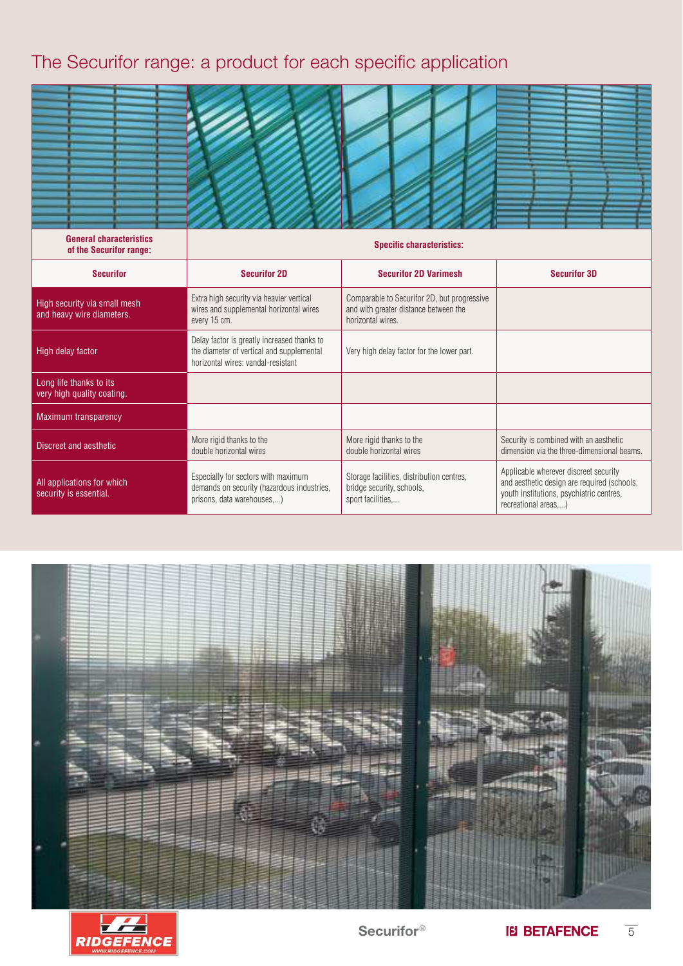### The Securifor range: a product for each specific application

| <b>General characteristics</b>                            |                                                                                                                                | <b>Specific characteristics:</b>                                                                          |                                                                                                                                                         |
|-----------------------------------------------------------|--------------------------------------------------------------------------------------------------------------------------------|-----------------------------------------------------------------------------------------------------------|---------------------------------------------------------------------------------------------------------------------------------------------------------|
| of the Securifor range:                                   |                                                                                                                                |                                                                                                           |                                                                                                                                                         |
| <b>Securifor</b>                                          | <b>Securifor 2D</b>                                                                                                            | <b>Securifor 2D Varimesh</b>                                                                              | <b>Securifor 3D</b>                                                                                                                                     |
| High security via small mesh<br>and heavy wire diameters. | Extra high security via heavier vertical<br>wires and supplemental horizontal wires<br>every 15 cm.                            | Comparable to Securifor 2D, but progressive<br>and with greater distance between the<br>horizontal wires. |                                                                                                                                                         |
| High delay factor                                         | Delay factor is greatly increased thanks to<br>the diameter of vertical and supplemental<br>horizontal wires: vandal-resistant | Very high delay factor for the lower part.                                                                |                                                                                                                                                         |
| Long life thanks to its<br>very high quality coating.     |                                                                                                                                |                                                                                                           |                                                                                                                                                         |
| <b>Maximum transparency</b>                               |                                                                                                                                |                                                                                                           |                                                                                                                                                         |
| Discreet and aesthetic                                    | More rigid thanks to the<br>double horizontal wires                                                                            | More rigid thanks to the<br>double horizontal wires                                                       | Security is combined with an aesthetic<br>dimension via the three-dimensional beams.                                                                    |
| All applications for which<br>security is essential.      | Especially for sectors with maximum<br>demands on security (hazardous industries,<br>prisons, data warehouses,)                | Storage facilities, distribution centres,<br>bridge security, schools,<br>sport facilities,               | Applicable wherever discreet security<br>and aesthetic design are required (schools,<br>youth institutions, psychiatric centres,<br>recreational areas) |





Securifor<sup>®</sup>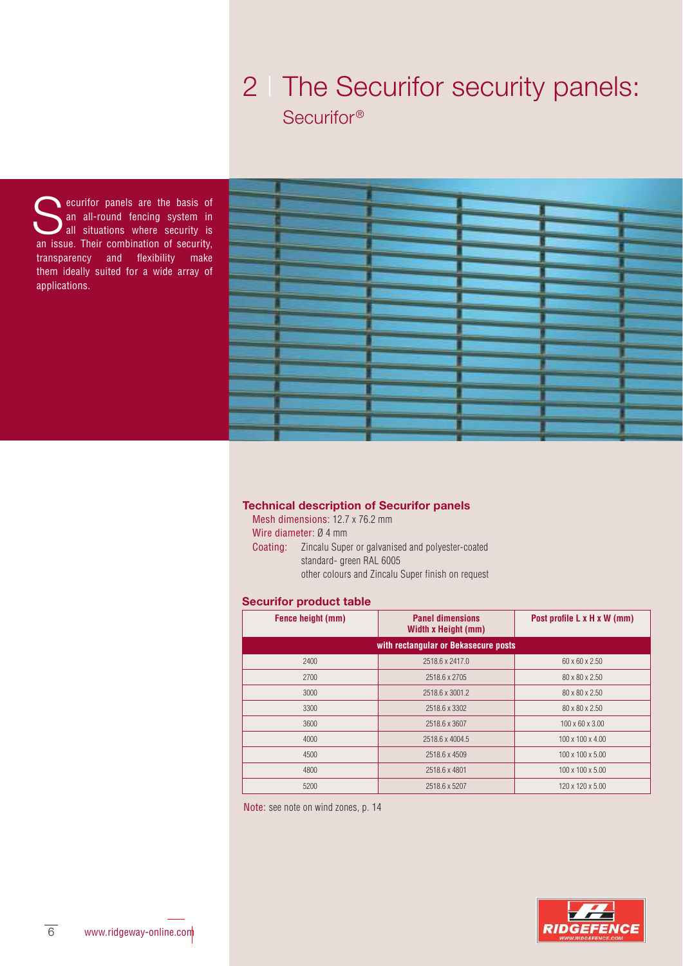## 2 | The Securifor security panels: Securifor<sup>®</sup>

Securifor panels are the basis of<br>
an all-round fencing system in<br>
all situations where security is<br>
an issue Their combination of security an all-round fencing system in all situations where security is an issue. Their combination of security, transparency and flexibility make them ideally suited for a wide array of applications.

| and the contract of the contract of the contract of the contract of the contract of the contract of the contract of the contract of the contract of the contract of the contract of the contract of the contract of the contra                                           |                                                                                                                                                                                                                                      |                                                                                                                                                                                                                                      |
|--------------------------------------------------------------------------------------------------------------------------------------------------------------------------------------------------------------------------------------------------------------------------|--------------------------------------------------------------------------------------------------------------------------------------------------------------------------------------------------------------------------------------|--------------------------------------------------------------------------------------------------------------------------------------------------------------------------------------------------------------------------------------|
|                                                                                                                                                                                                                                                                          |                                                                                                                                                                                                                                      |                                                                                                                                                                                                                                      |
|                                                                                                                                                                                                                                                                          |                                                                                                                                                                                                                                      |                                                                                                                                                                                                                                      |
| <b>Alley</b>                                                                                                                                                                                                                                                             |                                                                                                                                                                                                                                      |                                                                                                                                                                                                                                      |
|                                                                                                                                                                                                                                                                          | <b>State College</b>                                                                                                                                                                                                                 |                                                                                                                                                                                                                                      |
|                                                                                                                                                                                                                                                                          |                                                                                                                                                                                                                                      |                                                                                                                                                                                                                                      |
| a sa mga sangay na mga sangayon ng mga sangayon ng mga sangayon ng mga sangayon ng mga sangayon ng mga sangayon                                                                                                                                                          |                                                                                                                                                                                                                                      |                                                                                                                                                                                                                                      |
|                                                                                                                                                                                                                                                                          |                                                                                                                                                                                                                                      |                                                                                                                                                                                                                                      |
|                                                                                                                                                                                                                                                                          |                                                                                                                                                                                                                                      |                                                                                                                                                                                                                                      |
|                                                                                                                                                                                                                                                                          |                                                                                                                                                                                                                                      |                                                                                                                                                                                                                                      |
| ⋿                                                                                                                                                                                                                                                                        |                                                                                                                                                                                                                                      |                                                                                                                                                                                                                                      |
|                                                                                                                                                                                                                                                                          |                                                                                                                                                                                                                                      |                                                                                                                                                                                                                                      |
|                                                                                                                                                                                                                                                                          |                                                                                                                                                                                                                                      |                                                                                                                                                                                                                                      |
| and the company of the company of the company of the company of the company of the company of the company of the company of the company of the company of the company of the company of the company of the company of the comp                                           |                                                                                                                                                                                                                                      |                                                                                                                                                                                                                                      |
| <u>and the company's company's company's company's company's company's company's company's company's company's company's company's company's company's company's company's company's company's company's company's company's com</u>                                     |                                                                                                                                                                                                                                      |                                                                                                                                                                                                                                      |
|                                                                                                                                                                                                                                                                          |                                                                                                                                                                                                                                      |                                                                                                                                                                                                                                      |
|                                                                                                                                                                                                                                                                          |                                                                                                                                                                                                                                      |                                                                                                                                                                                                                                      |
| <u> De Carlos de Carlos de Carlos de Carlos de Carlos de Carlos de Carlos de Carlos de Carlos de Carlos de Carlos de Ca</u>                                                                                                                                              |                                                                                                                                                                                                                                      | <b>Contract Contract</b>                                                                                                                                                                                                             |
|                                                                                                                                                                                                                                                                          |                                                                                                                                                                                                                                      |                                                                                                                                                                                                                                      |
|                                                                                                                                                                                                                                                                          | <u> The Company of the Company of the Company of the Company of the Company of the Company of the Company of the Company of the Company of the Company of the Company of the Company of the Company of the Company of the Compan</u> | --                                                                                                                                                                                                                                   |
|                                                                                                                                                                                                                                                                          |                                                                                                                                                                                                                                      |                                                                                                                                                                                                                                      |
| <u>the company's company's property of the company's property of the company's property of the company's property of the company's property of the company's property of the company's property of the company's property of the</u>                                     |                                                                                                                                                                                                                                      |                                                                                                                                                                                                                                      |
|                                                                                                                                                                                                                                                                          | <u> general e de la pa</u>                                                                                                                                                                                                           |                                                                                                                                                                                                                                      |
|                                                                                                                                                                                                                                                                          |                                                                                                                                                                                                                                      |                                                                                                                                                                                                                                      |
|                                                                                                                                                                                                                                                                          |                                                                                                                                                                                                                                      |                                                                                                                                                                                                                                      |
| and the contract of the contract of the contract of the contract of the contract of the contract of the contract of the contract of the contract of the contract of the contract of the contract of the contract of the contra                                           |                                                                                                                                                                                                                                      |                                                                                                                                                                                                                                      |
|                                                                                                                                                                                                                                                                          | <u>and the company of the company of the company of the company of the company of the company of the company of the company of the company of the company of the company of the company of the company of the company of the com</u> |                                                                                                                                                                                                                                      |
|                                                                                                                                                                                                                                                                          |                                                                                                                                                                                                                                      |                                                                                                                                                                                                                                      |
| the complete state of the complete state of the complete state of the complete state of the complete state of                                                                                                                                                            | <b>Service Controller</b>                                                                                                                                                                                                            |                                                                                                                                                                                                                                      |
|                                                                                                                                                                                                                                                                          |                                                                                                                                                                                                                                      |                                                                                                                                                                                                                                      |
|                                                                                                                                                                                                                                                                          | ______                                                                                                                                                                                                                               |                                                                                                                                                                                                                                      |
| ٠<br><u> Tanzania (h. 1878).</u><br><u>and the company's second the company's second that the company's second that the company's second that the company's second the company's second the company's second the company's second the company's second the company's</u> |                                                                                                                                                                                                                                      |                                                                                                                                                                                                                                      |
|                                                                                                                                                                                                                                                                          | __                                                                                                                                                                                                                                   |                                                                                                                                                                                                                                      |
|                                                                                                                                                                                                                                                                          |                                                                                                                                                                                                                                      |                                                                                                                                                                                                                                      |
|                                                                                                                                                                                                                                                                          |                                                                                                                                                                                                                                      | <u> Tantan Barat da Barat da Barat da Barat da Barat da Barat da Barat da Barat da Barat da Barat da Barat da Barat da Barat da Barat da Barat da Barat da Barat da Barat da Barat da Barat da Barat da Barat da Barat da Barat </u> |
| <u>in massa si provincia del conte</u>                                                                                                                                                                                                                                   |                                                                                                                                                                                                                                      |                                                                                                                                                                                                                                      |
|                                                                                                                                                                                                                                                                          | <b>Contract Contract</b>                                                                                                                                                                                                             |                                                                                                                                                                                                                                      |
|                                                                                                                                                                                                                                                                          |                                                                                                                                                                                                                                      |                                                                                                                                                                                                                                      |
| <u> a series a</u><br><u> The Common Service Common Service Common Service Common Service Common Service Common Service Common Service Common Service Common Service Common Service Common Service Common Service Common Service Common Service Common</u>               |                                                                                                                                                                                                                                      |                                                                                                                                                                                                                                      |
|                                                                                                                                                                                                                                                                          | ______                                                                                                                                                                                                                               |                                                                                                                                                                                                                                      |
|                                                                                                                                                                                                                                                                          |                                                                                                                                                                                                                                      | the company of the company of the company of the company of the company of the company of the company of the company of the company of the company of the company of the company of the company of the company of the company        |
|                                                                                                                                                                                                                                                                          |                                                                                                                                                                                                                                      |                                                                                                                                                                                                                                      |
| <u> De compagnitor de la compa</u>                                                                                                                                                                                                                                       |                                                                                                                                                                                                                                      |                                                                                                                                                                                                                                      |
|                                                                                                                                                                                                                                                                          |                                                                                                                                                                                                                                      |                                                                                                                                                                                                                                      |
|                                                                                                                                                                                                                                                                          |                                                                                                                                                                                                                                      | <u> De Santon de la Carlo de la Carlo de la Carlo de la Carlo de la Carlo de la Carlo de la Carlo de la Carlo de L</u>                                                                                                               |
| _____                                                                                                                                                                                                                                                                    |                                                                                                                                                                                                                                      |                                                                                                                                                                                                                                      |
| <u>en de la companya de la companya de la companya de la companya de la companya de la companya de la companya de la compa</u>                                                                                                                                           |                                                                                                                                                                                                                                      |                                                                                                                                                                                                                                      |
|                                                                                                                                                                                                                                                                          |                                                                                                                                                                                                                                      |                                                                                                                                                                                                                                      |
|                                                                                                                                                                                                                                                                          |                                                                                                                                                                                                                                      |                                                                                                                                                                                                                                      |
|                                                                                                                                                                                                                                                                          |                                                                                                                                                                                                                                      |                                                                                                                                                                                                                                      |
|                                                                                                                                                                                                                                                                          |                                                                                                                                                                                                                                      |                                                                                                                                                                                                                                      |
|                                                                                                                                                                                                                                                                          |                                                                                                                                                                                                                                      |                                                                                                                                                                                                                                      |

#### **Technical description of Securifor panels**

Mesh dimensions: 12.7 x 76.2 mm

Wire diameter: Ø 4 mm

Coating: Zincalu Super or galvanised and polyester-coated standard- green RAL 6005 other colours and Zincalu Super finish on request

#### **Securifor product table**

| Fence height (mm) | <b>Panel dimensions</b><br>Width x Height (mm) | Post profile L x H x W (mm)  |
|-------------------|------------------------------------------------|------------------------------|
|                   | with rectangular or Bekasecure posts           |                              |
| 2400              | 2518.6 x 2417.0                                | $60 \times 60 \times 2.50$   |
| 2700              | 2518.6 x 2705                                  | $80 \times 80 \times 2.50$   |
| 3000              | 2518.6 x 3001.2                                | 80 x 80 x 2.50               |
| 3300              | 2518.6 x 3302                                  | 80 x 80 x 2.50               |
| 3600              | 2518.6 x 3607                                  | $100 \times 60 \times 3.00$  |
| 4000              | 2518.6 x 4004.5                                | $100 \times 100 \times 4.00$ |
| 4500              | 2518.6 x 4509                                  | 100 x 100 x 5.00             |
| 4800              | 2518.6 x 4801                                  | 100 x 100 x 5.00             |
| 5200              | 2518.6 x 5207                                  | 120 x 120 x 5.00             |

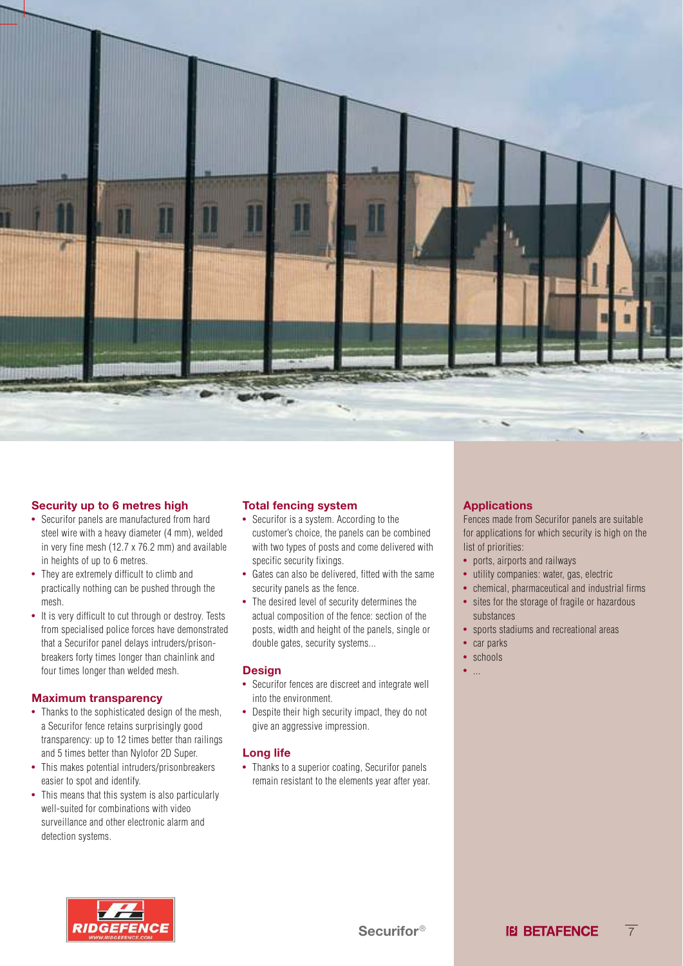

#### **Security up to 6 metres high**

- Securifor panels are manufactured from hard steel wire with a heavy diameter (4 mm), welded in very fine mesh (12.7 x 76.2 mm) and available in heights of up to 6 metres.
- They are extremely difficult to climb and practically nothing can be pushed through the mesh.
- It is very difficult to cut through or destroy. Tests from specialised police forces have demonstrated that a Securifor panel delays intruders/prisonbreakers forty times longer than chainlink and four times longer than welded mesh.

#### **Maximum transparency**

- Thanks to the sophisticated design of the mesh. a Securifor fence retains surprisingly good transparency: up to 12 times better than railings and 5 times better than Nylofor 2D Super.
- This makes potential intruders/prisonbreakers easier to spot and identify.
- This means that this system is also particularly well-suited for combinations with video surveillance and other electronic alarm and detection systems.

#### **Total fencing system**

- Securifor is a system. According to the customer's choice, the panels can be combined with two types of posts and come delivered with specific security fixings.
- Gates can also be delivered, fitted with the same security panels as the fence.
- The desired level of security determines the actual composition of the fence: section of the posts, width and height of the panels, single or double gates, security systems...

#### **Design**

- Securifor fences are discreet and integrate well into the environment.
- Despite their high security impact, they do not give an aggressive impression.

#### **Long life**

• Thanks to a superior coating, Securifor panels remain resistant to the elements year after year.

#### **Applications**

Fences made from Securifor panels are suitable for applications for which security is high on the list of priorities:

- ports, airports and railways
- utility companies: water, gas, electric
- chemical, pharmaceutical and industrial firms
- sites for the storage of fragile or hazardous substances
- sports stadiums and recreational areas
- car parks
- schools
- ...

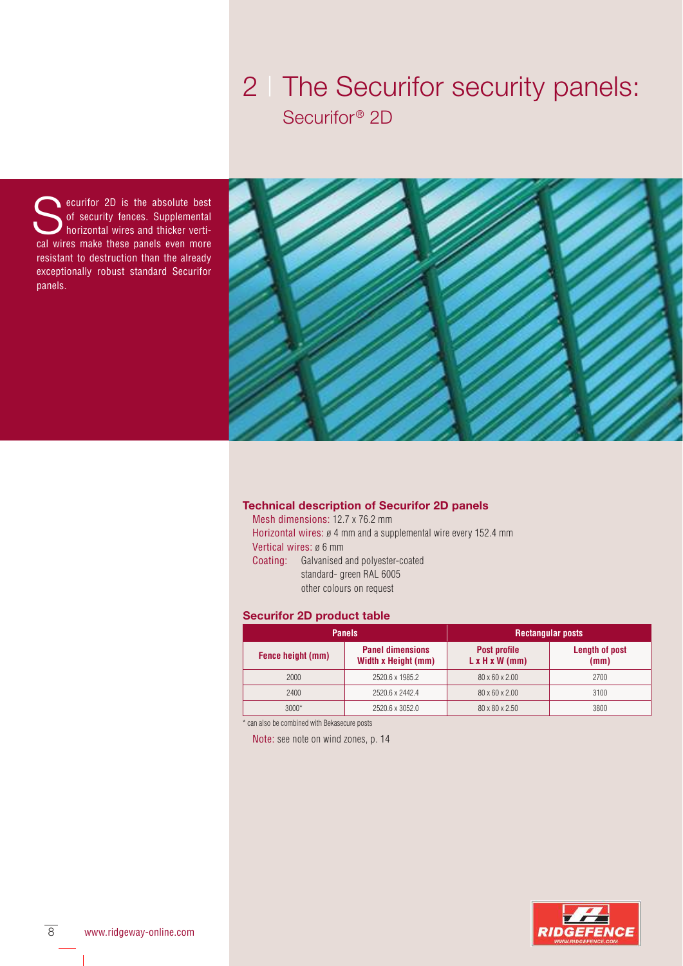## 2 | The Securifor security panels: Securifor<sup>®</sup> 2D

Securifor 2D is the absolute best<br>of security fences. Supplemental<br>cal wires make these panels even more of security fences. Supplemental horizontal wires and thicker vertical wires make these panels even more resistant to destruction than the already exceptionally robust standard Securifor panels.



#### **Technical description of Securifor 2D panels**

Mesh dimensions: 12.7 x 76.2 mm Horizontal wires: ø 4 mm and a supplemental wire every 152.4 mm Vertical wires: ø 6 mm Coating: Galvanised and polyester-coated standard- green RAL 6005 other colours on request

#### **Securifor 2D product table**

| <b>Panels</b>     |                                                | <b>Rectangular posts</b>                   |                        |
|-------------------|------------------------------------------------|--------------------------------------------|------------------------|
| Fence height (mm) | <b>Panel dimensions</b><br>Width x Height (mm) | Post profile<br>$L \times H \times W$ (mm) | Length of post<br>(mm) |
| 2000              | 2520.6 x 1985.2                                | 80 x 60 x 2.00                             | 2700                   |
| 2400              | 2520.6 x 2442.4                                | 80 x 60 x 2.00                             | 3100                   |
| $3000*$           | 2520.6 x 3052.0                                | 80 x 80 x 2.50                             | 3800                   |

\* can also be combined with Bekasecure posts

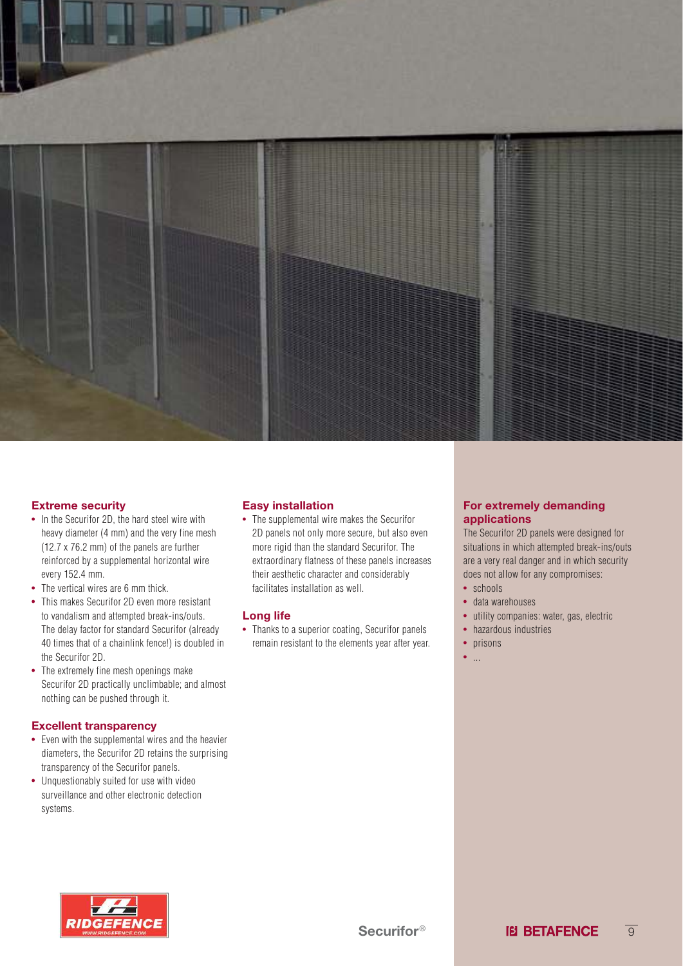

#### **Extreme security**

- In the Securifor 2D, the hard steel wire with heavy diameter (4 mm) and the very fine mesh (12.7 x 76.2 mm) of the panels are further reinforced by a supplemental horizontal wire every 152.4 mm.
- The vertical wires are 6 mm thick.
- This makes Securifor 2D even more resistant to vandalism and attempted break-ins/outs. The delay factor for standard Securifor (already 40 times that of a chainlink fence!) is doubled in the Securifor 2D.
- The extremely fine mesh openings make Securifor 2D practically unclimbable; and almost nothing can be pushed through it.

#### **Excellent transparency**

- Even with the supplemental wires and the heavier diameters, the Securifor 2D retains the surprising transparency of the Securifor panels.
- Unquestionably suited for use with video surveillance and other electronic detection systems.

#### **Easy installation**

• The supplemental wire makes the Securifor 2D panels not only more secure, but also even more rigid than the standard Securifor. The extraordinary flatness of these panels increases their aesthetic character and considerably facilitates installation as well.

#### **Long life**

• Thanks to a superior coating, Securifor panels remain resistant to the elements year after year.

#### **For extremely demanding applications**

The Securifor 2D panels were designed for situations in which attempted break-ins/outs are a very real danger and in which security does not allow for any compromises:

- schools
- data warehouses
- utility companies: water, gas, electric
- hazardous industries
- prisons
- $\bullet$  . . . .

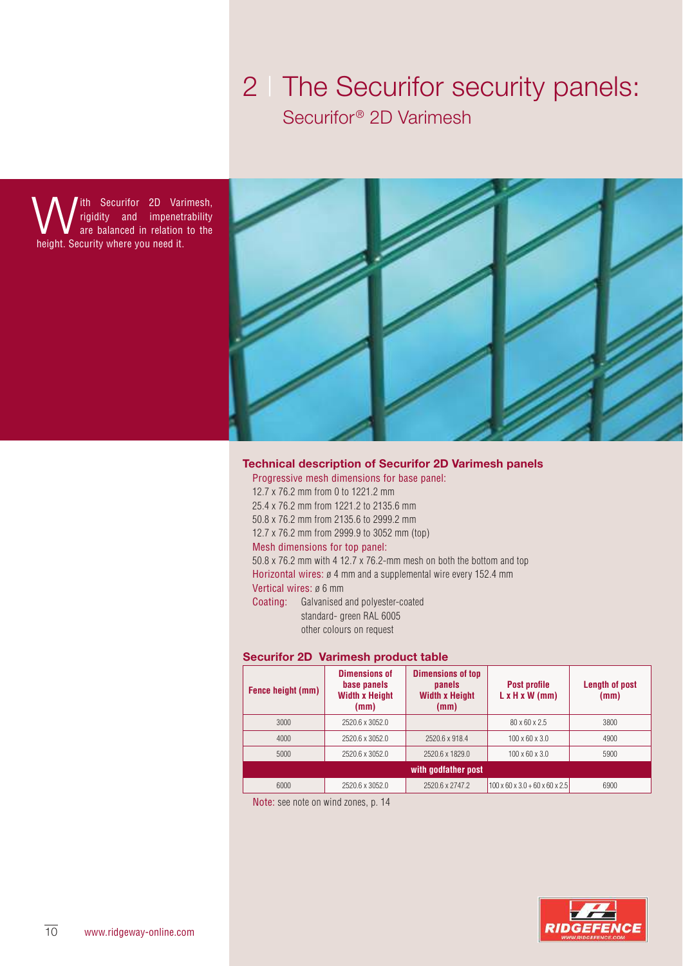### 2 | The Securifor security panels: Securifor<sup>®</sup> 2D Varimesh

**W** ith Securifor 2D Var<br>are balanced in relation<br>height. Security where you need it. ith Securifor 2D Varimesh, rigidity and impenetrability are balanced in relation to the



#### **Technical description of Securifor 2D Varimesh panels**

Progressive mesh dimensions for base panel: 12.7 x 76.2 mm from 0 to 1221.2 mm 25.4 x 76.2 mm from 1221.2 to 2135.6 mm 50.8 x 76.2 mm from 2135.6 to 2999.2 mm 12.7 x 76.2 mm from 2999.9 to 3052 mm (top) Mesh dimensions for top panel: 50.8 x 76.2 mm with 4 12.7 x 76.2-mm mesh on both the bottom and top Horizontal wires: ø 4 mm and a supplemental wire every 152.4 mm Vertical wires: ø 6 mm Coating: Galvanised and polyester-coated standard- green RAL 6005 other colours on request

#### **Securifor 2D Varimesh product table**

| Fence height (mm)                                   | <b>Dimensions of</b><br>base panels<br><b>Width x Height</b><br>(mm) | <b>Dimensions of top</b><br>panels<br><b>Width x Height</b><br>(mm) | Post profile<br>$L \times H \times W$ (mm)           | <b>Length of post</b><br>(mm) |
|-----------------------------------------------------|----------------------------------------------------------------------|---------------------------------------------------------------------|------------------------------------------------------|-------------------------------|
| 3000                                                | 2520.6 x 3052.0                                                      |                                                                     | $80 \times 60 \times 2.5$                            | 3800                          |
| 4000                                                | 2520.6 x 3052.0                                                      | 2520.6 x 918.4                                                      | $100 \times 60 \times 3.0$                           | 4900                          |
| 5000                                                | 2520.6 x 3052.0                                                      | 2520.6 x 1829.0                                                     | $100 \times 60 \times 3.0$                           | 5900                          |
| with godfather post                                 |                                                                      |                                                                     |                                                      |                               |
| 6000                                                | 2520.6 x 3052.0                                                      | 2520.6 x 2747.2                                                     | $100 \times 60 \times 3.0 + 60 \times 60 \times 2.5$ | 6900                          |
| Materia e considerado con contradiciones de la Mill |                                                                      |                                                                     |                                                      |                               |

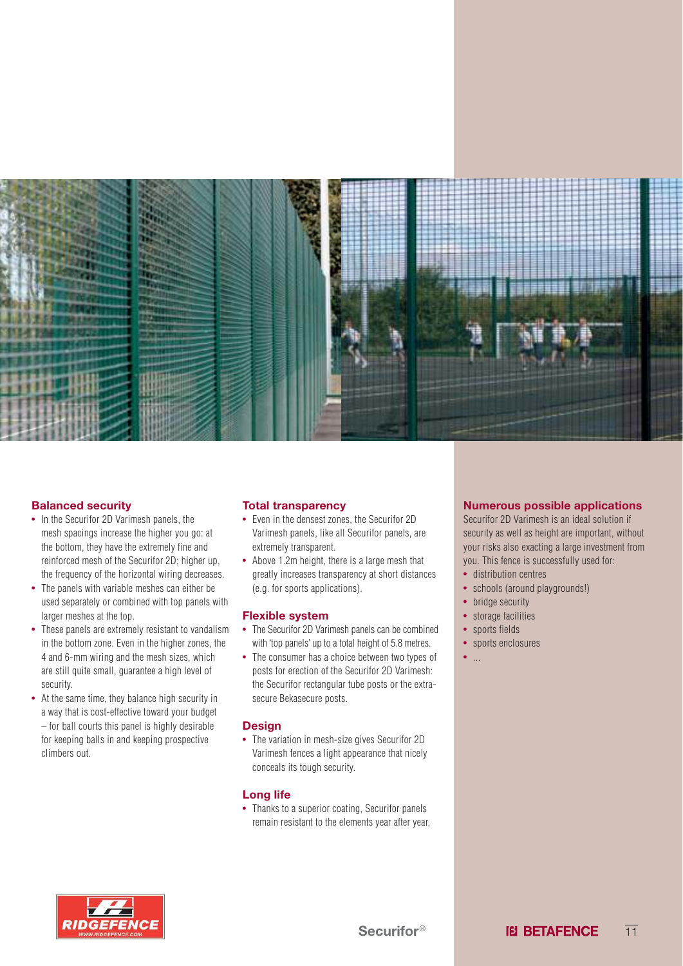

#### **Balanced security**

- In the Securifor 2D Varimesh panels, the mesh spacings increase the higher you go: at the bottom, they have the extremely fine and reinforced mesh of the Securifor 2D; higher up, the frequency of the horizontal wiring decreases.
- The panels with variable meshes can either be used separately or combined with top panels with larger meshes at the top.
- These panels are extremely resistant to vandalism in the bottom zone. Even in the higher zones, the 4 and 6-mm wiring and the mesh sizes, which are still quite small, guarantee a high level of security.
- At the same time, they balance high security in a way that is cost-effective toward your budget – for ball courts this panel is highly desirable for keeping balls in and keeping prospective climbers out.

#### **Total transparency**

- Even in the densest zones, the Securifor 2D Varimesh panels, like all Securifor panels, are extremely transparent.
- Above 1.2m height, there is a large mesh that greatly increases transparency at short distances (e.g. for sports applications).

#### **Flexible system**

- The Securifor 2D Varimesh panels can be combined with 'top panels' up to a total height of 5.8 metres.
- The consumer has a choice between two types of posts for erection of the Securifor 2D Varimesh: the Securifor rectangular tube posts or the extrasecure Bekasecure posts.

#### **Design**

• The variation in mesh-size gives Securifor 2D Varimesh fences a light appearance that nicely conceals its tough security.

#### **Long life**

• Thanks to a superior coating, Securifor panels remain resistant to the elements year after year.

#### **Numerous possible applications**

Securifor 2D Varimesh is an ideal solution if security as well as height are important, without your risks also exacting a large investment from you. This fence is successfully used for:

- distribution centres
- schools (around playgrounds!)
- bridge security
- storage facilities
- sports fields
- sports enclosures
- ...

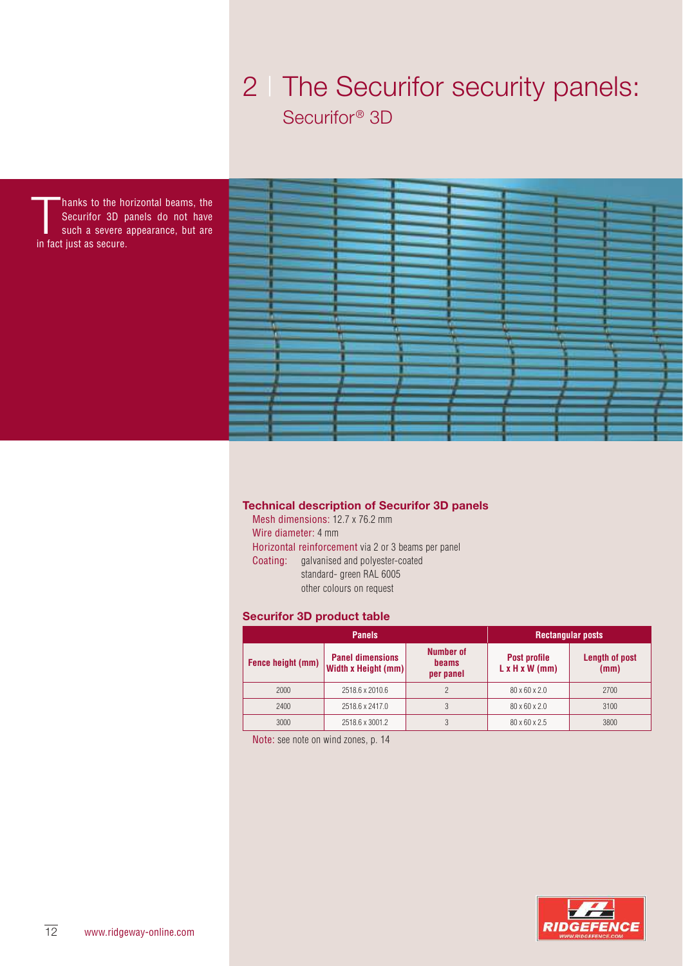## 2 | The Securifor security panels: Securifor<sup>®</sup> 3D

hanks to the h<br>Securifor 3D p<br>such a severe<br>in fact just as secure. hanks to the horizontal beams, the Securifor 3D panels do not have such a severe appearance, but are



### **Technical description of Securifor 3D panels**

Mesh dimensions: 12.7 x 76.2 mm Wire diameter: 4 mm Horizontal reinforcement via 2 or 3 beams per panel Coating: galvanised and polyester-coated standard- green RAL 6005 other colours on request

#### **Securifor 3D product table**

| <b>Panels</b>     |                                                       | <b>Rectangular posts</b>        |                                                   |                               |
|-------------------|-------------------------------------------------------|---------------------------------|---------------------------------------------------|-------------------------------|
| Fence height (mm) | <b>Panel dimensions</b><br><b>Width x Height (mm)</b> | Number of<br>beams<br>per panel | <b>Post profile</b><br>$L \times H \times W$ (mm) | <b>Length of post</b><br>(mm) |
| 2000              | 2518.6 x 2010.6                                       | C                               | $80 \times 60 \times 2.0$                         | 2700                          |
| 2400              | 2518.6 x 2417.0                                       |                                 | $80 \times 60 \times 2.0$                         | 3100                          |
| 3000              | 2518.6 x 3001.2                                       |                                 | 80 x 60 x 2.5                                     | 3800                          |

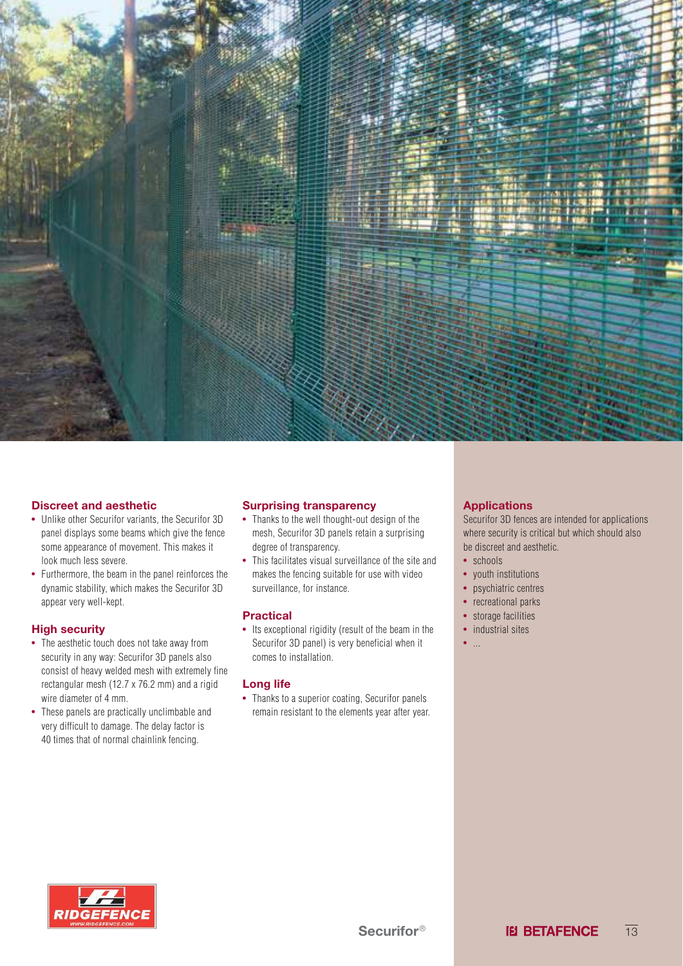

#### **Discreet and aesthetic**

- Unlike other Securifor variants, the Securifor 3D panel displays some beams which give the fence some appearance of movement. This makes it look much less severe.
- Furthermore, the beam in the panel reinforces the dynamic stability, which makes the Securifor 3D appear very well-kept.

#### **High security**

- The aesthetic touch does not take away from security in any way: Securifor 3D panels also consist of heavy welded mesh with extremely fine rectangular mesh (12.7 x 76.2 mm) and a rigid wire diameter of 4 mm.
- These panels are practically unclimbable and very difficult to damage. The delay factor is 40 times that of normal chainlink fencing.

#### **Surprising transparency**

- Thanks to the well thought-out design of the mesh, Securifor 3D panels retain a surprising degree of transparency.
- This facilitates visual surveillance of the site and makes the fencing suitable for use with video surveillance, for instance.

#### **Practical**

• Its exceptional rigidity (result of the beam in the Securifor 3D panel) is very beneficial when it comes to installation.

#### **Long life**

• Thanks to a superior coating, Securifor panels remain resistant to the elements year after year.

#### **Applications**

Securifor 3D fences are intended for applications where security is critical but which should also be discreet and aesthetic.

- schools
- youth institutions
- psychiatric centres
- recreational parks
- storage facilities
- industrial sites
- ...

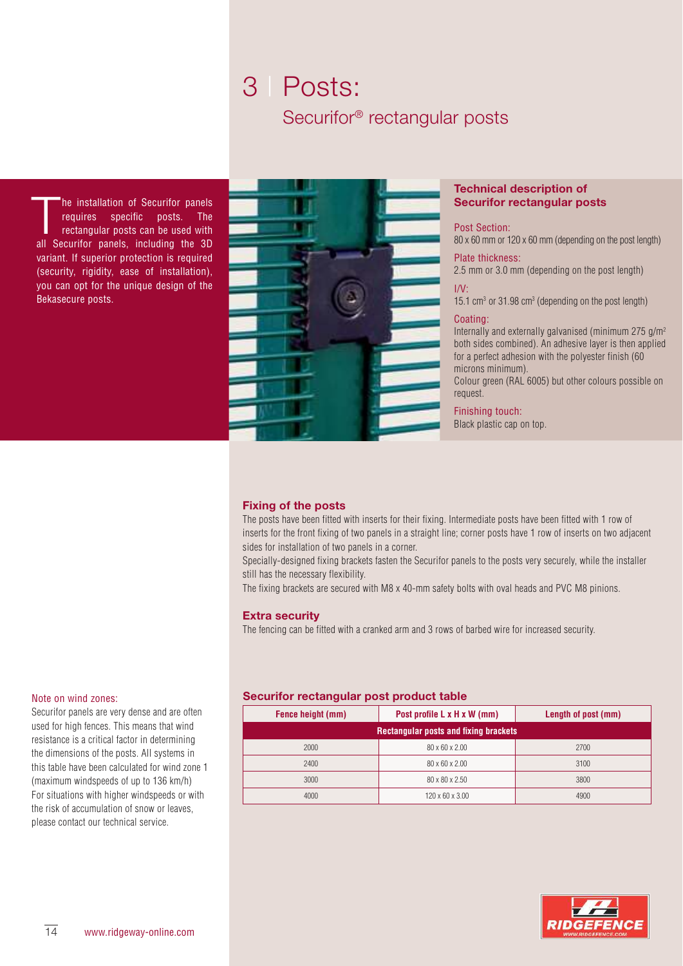### 3 | Posts: Securifor® rectangular posts

The installation of Securifor panels<br>requires specific posts. The<br>rectangular posts can be used with<br>all Securifor panels, including the 3D he installation of Securifor panels requires specific posts. The rectangular posts can be used with variant. If superior protection is required (security, rigidity, ease of installation), you can opt for the unique design of the Bekasecure posts.



#### **Technical description of Securifor rectangular posts**

Post Section:

80 x 60 mm or 120 x 60 mm (depending on the post length) Plate thickness:

2.5 mm or 3.0 mm (depending on the post length)

I/V:

15.1 cm<sup>3</sup> or 31.98 cm<sup>3</sup> (depending on the post length)

#### Coating:

Internally and externally galvanised (minimum 275 g/m<sup>2</sup> both sides combined). An adhesive layer is then applied for a perfect adhesion with the polyester finish (60 microns minimum).

Colour green (RAL 6005) but other colours possible on request.

Finishing touch: Black plastic cap on top.

#### **Fixing of the posts**

The posts have been fitted with inserts for their fixing. Intermediate posts have been fitted with 1 row of inserts for the front fixing of two panels in a straight line; corner posts have 1 row of inserts on two adjacent sides for installation of two panels in a corner.

Specially-designed fixing brackets fasten the Securifor panels to the posts very securely, while the installer still has the necessary flexibility.

The fixing brackets are secured with M8 x 40-mm safety bolts with oval heads and PVC M8 pinions.

#### **Extra security**

The fencing can be fitted with a cranked arm and 3 rows of barbed wire for increased security.

#### Note on wind zones:

Securifor panels are very dense and are often used for high fences. This means that wind resistance is a critical factor in determining the dimensions of the posts. All systems in this table have been calculated for wind zone 1 (maximum windspeeds of up to 136 km/h) For situations with higher windspeeds or with the risk of accumulation of snow or leaves, please contact our technical service.

#### **Securifor rectangular post product table**

| Fence height (mm) | Post profile L x H x W (mm)                  | Length of post (mm) |  |  |  |
|-------------------|----------------------------------------------|---------------------|--|--|--|
|                   | <b>Rectangular posts and fixing brackets</b> |                     |  |  |  |
| 2000              | 80 x 60 x 2.00                               | 2700                |  |  |  |
| 2400              | 80 x 60 x 2.00                               | 3100                |  |  |  |
| 3000              | 80 x 80 x 2.50                               | 3800                |  |  |  |
| 4000              | 120 x 60 x 3.00                              | 4900                |  |  |  |

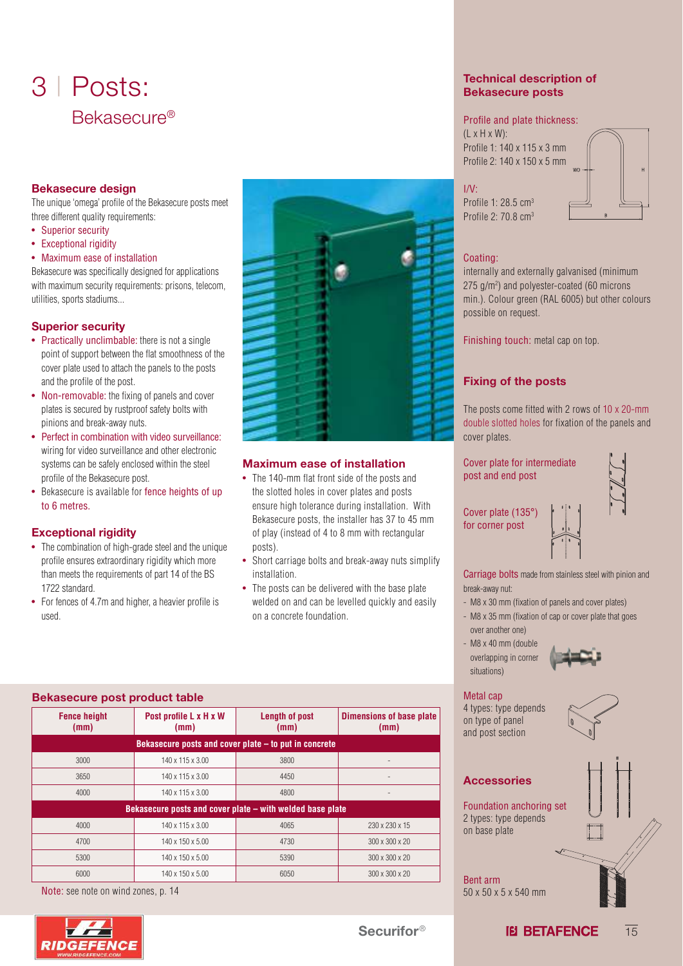## 3 | Posts: Bekasecure®

#### **Bekasecure design**

The unique 'omega' profile of the Bekasecure posts meet three different quality requirements:

- Superior security
- Exceptional rigidity
- Maximum ease of installation

Bekasecure was specifically designed for applications with maximum security requirements: prisons, telecom, utilities, sports stadiums...

#### **Superior security**

- Practically unclimbable: there is not a single point of support between the flat smoothness of the cover plate used to attach the panels to the posts and the profile of the post.
- Non-removable: the fixing of panels and cover plates is secured by rustproof safety bolts with pinions and break-away nuts.
- Perfect in combination with video surveillance: wiring for video surveillance and other electronic systems can be safely enclosed within the steel profile of the Bekasecure post.
- Bekasecure is available for fence heights of up to 6 metres.

#### **Exceptional rigidity**

- The combination of high-grade steel and the unique profile ensures extraordinary rigidity which more than meets the requirements of part 14 of the BS 1722 standard.
- For fences of 4.7m and higher, a heavier profile is used.



### **Maximum ease of installation**

• The 140-mm flat front side of the posts and the slotted holes in cover plates and posts ensure high tolerance during installation. With Bekasecure posts, the installer has 37 to 45 mm of play (instead of 4 to 8 mm with rectangular posts).

### • Short carriage bolts and break-away nuts simplify installation. • The posts can be delivered with the base plate welded on and can be levelled quickly and easily on a concrete foundation.

| <b>Bekasecure post product table</b>                      |                                                       |                               |                                  |  |
|-----------------------------------------------------------|-------------------------------------------------------|-------------------------------|----------------------------------|--|
| <b>Fence height</b><br>(mm)                               | Post profile L x H x W<br>(mm)                        | <b>Length of post</b><br>(mm) | Dimensions of base plate<br>(mm) |  |
|                                                           | Bekasecure posts and cover plate – to put in concrete |                               |                                  |  |
| 3000                                                      | 140 x 115 x 3.00                                      | 3800                          |                                  |  |
| 3650                                                      | 140 x 115 x 3.00                                      | 4450                          |                                  |  |
| 4000                                                      | 140 x 115 x 3.00                                      | 4800                          |                                  |  |
| Bekasecure posts and cover plate – with welded base plate |                                                       |                               |                                  |  |
| 4000                                                      | 140 x 115 x 3.00                                      | 4065                          | 230 x 230 x 15                   |  |
| 4700                                                      | 140 x 150 x 5.00                                      | 4730                          | $300 \times 300 \times 20$       |  |
| 5300                                                      | 140 x 150 x 5.00                                      | 5390                          | 300 x 300 x 20                   |  |
| 6000                                                      | 140 x 150 x 5.00                                      | 6050                          | $300 \times 300 \times 20$       |  |

Note: see note on wind zones, p. 14



#### **Technical description of Bekasecure posts**

#### Profile and plate thickness:

 $(L \times H \times W)$ : Profile 1: 140 x 115 x 3 mm Profile 2: 140 x 150 x 5 mm



 $I/V$ Profile 1: 28.5 cm<sup>3</sup>

#### Coating:

Profile 2: 70.8 cm<sup>3</sup>

internally and externally galvanised (minimum 275 g/m<sup>2</sup> ) and polyester-coated (60 microns min.). Colour green (RAL 6005) but other colours possible on request.

Finishing touch: metal cap on top.

### **Fixing of the posts**

The posts come fitted with 2 rows of 10 x 20-mm double slotted holes for fixation of the panels and cover plates.

Cover plate for intermediate post and end post

for corner post

Cover plate (135°)

Carriage bolts made from stainless steel with pinion and break-away nut:

- M8 x 30 mm (fixation of panels and cover plates)
- M8 x 35 mm (fixation of cap or cover plate that goes over another one)
- M8 x 40 mm (double overlapping in corner situations)

#### Metal cap

4 types: type depends on type of panel and post section



### **Accessories**

Foundation anchoring set 2 types: type depends on base plate

Bent arm 50 x 50 x 5 x 540 mm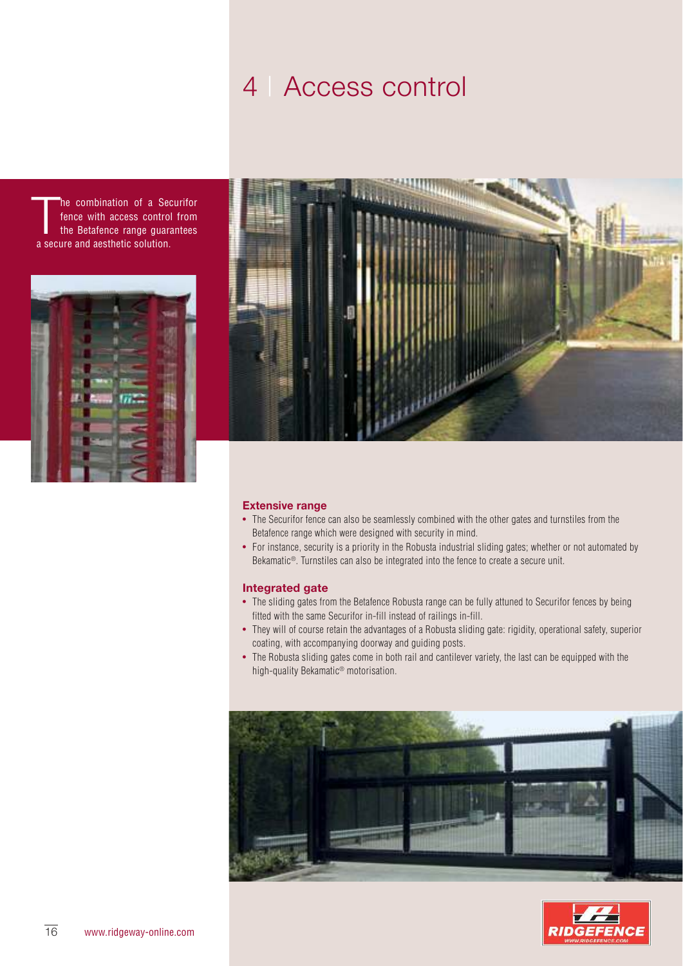## 4 | Access control

The combination of a Secure with access control<br>the Betafence range guara<br>a secure and aesthetic solution. he combination of a Securifor fence with access control from the Betafence range guarantees





#### **Extensive range**

- The Securifor fence can also be seamlessly combined with the other gates and turnstiles from the Betafence range which were designed with security in mind.
- For instance, security is a priority in the Robusta industrial sliding gates; whether or not automated by Bekamatic<sup>®</sup>. Turnstiles can also be integrated into the fence to create a secure unit.

#### **Integrated gate**

- The sliding gates from the Betafence Robusta range can be fully attuned to Securifor fences by being fitted with the same Securifor in-fill instead of railings in-fill.
- They will of course retain the advantages of a Robusta sliding gate: rigidity, operational safety, superior coating, with accompanying doorway and guiding posts.
- The Robusta sliding gates come in both rail and cantilever variety, the last can be equipped with the high-quality Bekamatic® motorisation.



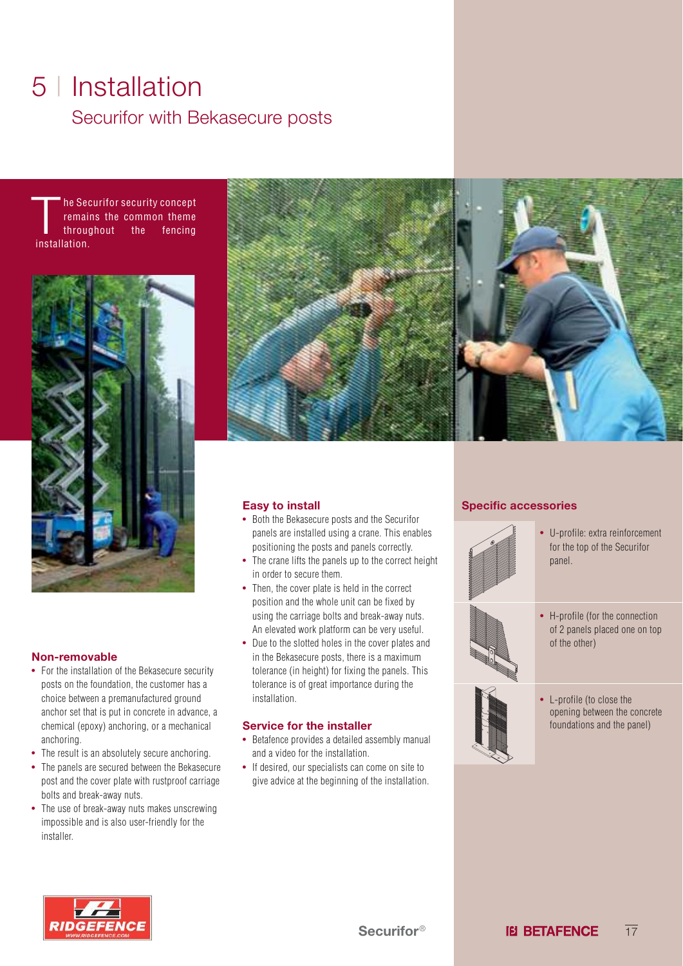## 5 | Installation Securifor with Bekasecure posts

The Second remain<br>throught throught throught that he Securifor security concept remains the common theme throughout the fencing



#### **Non-removable**

- For the installation of the Bekasecure security posts on the foundation, the customer has a choice between a premanufactured ground anchor set that is put in concrete in advance, a chemical (epoxy) anchoring, or a mechanical anchoring.
- The result is an absolutely secure anchoring.
- The panels are secured between the Bekasecure post and the cover plate with rustproof carriage bolts and break-away nuts.
- The use of break-away nuts makes unscrewing impossible and is also user-friendly for the installer.



#### **Easy to install**

- Both the Bekasecure posts and the Securifor panels are installed using a crane. This enables positioning the posts and panels correctly.
- The crane lifts the panels up to the correct height in order to secure them.
- Then, the cover plate is held in the correct position and the whole unit can be fixed by using the carriage bolts and break-away nuts. An elevated work platform can be very useful.
- Due to the slotted holes in the cover plates and in the Bekasecure posts, there is a maximum tolerance (in height) for fixing the panels. This tolerance is of great importance during the installation.

#### **Service for the installer**

- Betafence provides a detailed assembly manual and a video for the installation.
- If desired, our specialists can come on site to give advice at the beginning of the installation.

#### **Specific accessories**



- U-profile: extra reinforcement for the top of the Securifor panel.
- 
- H-profile (for the connection of 2 panels placed one on top of the other)



• L-profile (to close the opening between the concrete foundations and the panel)

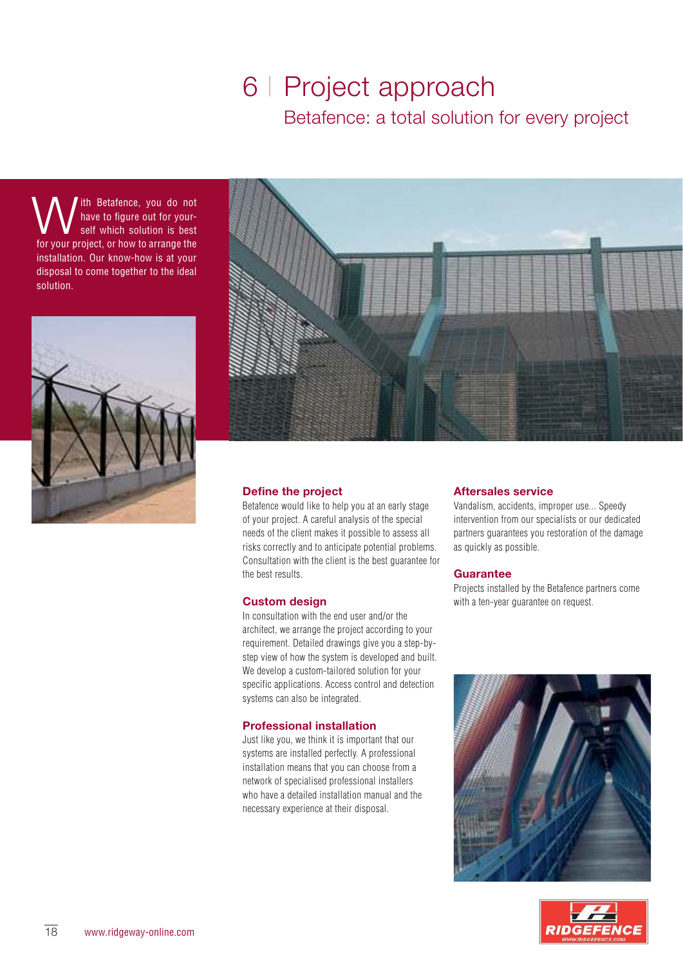### 6 | Project approach Betafence: a total solution for every project

**W** the Betafence, you do not have to figure out for your-<br>for your project, or how to arrange the ith Betafence, you do not have to figure out for yourself which solution is best installation. Our know-how is at your disposal to come together to the ideal solution.





#### **Define the project**

Betafence would like to help you at an early stage of your project. A careful analysis of the special needs of the client makes it possible to assess all risks correctly and to anticipate potential problems. Consultation with the client is the best guarantee for the best results.

#### **Custom design**

In consultation with the end user and/or the architect, we arrange the project according to your requirement. Detailed drawings give you a step-bystep view of how the system is developed and built. We develop a custom-tailored solution for your specific applications. Access control and detection systems can also be integrated.

#### **Professional installation**

Just like you, we think it is important that our systems are installed perfectly. A professional installation means that you can choose from a network of specialised professional installers who have a detailed installation manual and the necessary experience at their disposal.

#### **Aftersales service**

Vandalism, accidents, improper use... Speedy intervention from our specialists or our dedicated partners guarantees you restoration of the damage as quickly as possible.

#### **Guarantee**

Projects installed by the Betafence partners come with a ten-year guarantee on request.



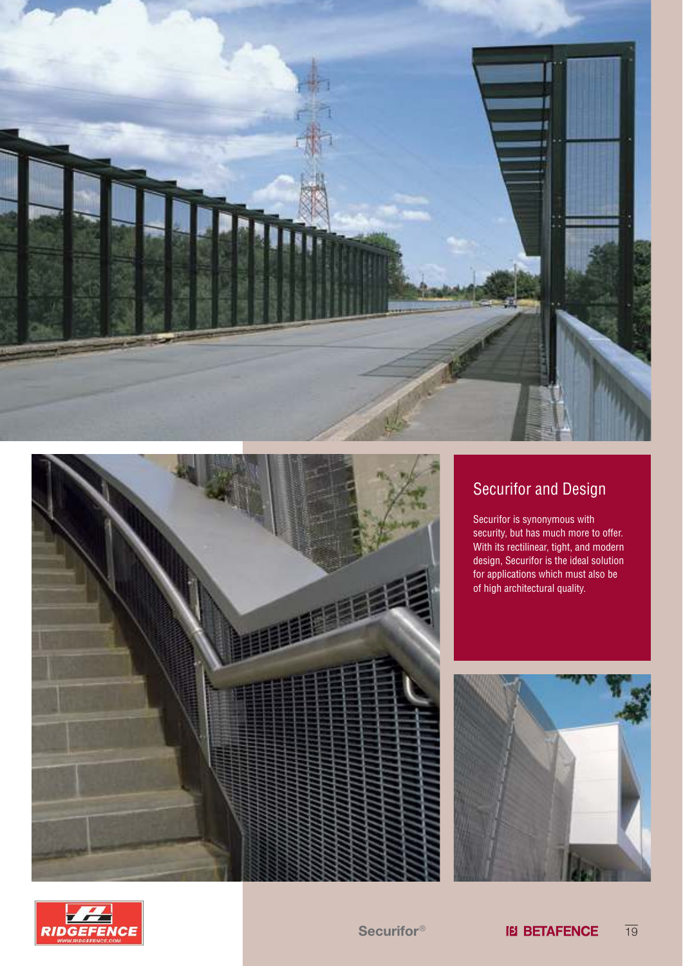



### Securifor and Design

Securifor is synonymous with security, but has much more to offer. With its rectilinear, tight, and modern design, Securifor is the ideal solution for applications which must also be of high architectural quality.